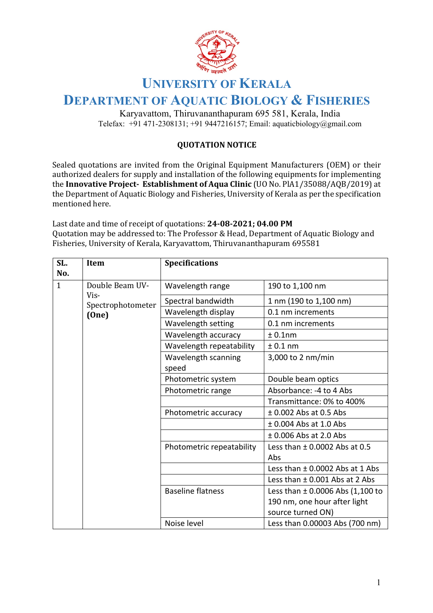

## **UNIVERSITY OF KERALA**

## **DEPARTMENT OF AQUATIC BIOLOGY & FISHERIES**

Karyavattom, Thiruvananthapuram 695 581, Kerala, India Telefax:  $+91 471 - 2308131$ ;  $+91 9447216157$ ; Email: aquaticbiology@gmail.com

## **QUOTATION NOTICE**

Sealed quotations are invited from the Original Equipment Manufacturers (OEM) or their authorized dealers for supply and installation of the following equipments for implementing the **Innovative Project- Establishment of Aqua Clinic** (UO No. PlA1/35088/AQB/2019) at the Department of Aquatic Biology and Fisheries, University of Kerala as per the specification mentioned here.

Last date and time of receipt of quotations: 24-08-2021; 04.00 PM Quotation may be addressed to: The Professor & Head, Department of Aquatic Biology and Fisheries, University of Kerala, Karyavattom, Thiruvananthapuram 695581

| SL.<br>No.   | Item              | <b>Specifications</b>        |                                      |
|--------------|-------------------|------------------------------|--------------------------------------|
| $\mathbf{1}$ | Double Beam UV-   | Wavelength range             | 190 to 1,100 nm                      |
|              | Vis-              |                              |                                      |
|              | Spectrophotometer | Spectral bandwidth           | 1 nm (190 to 1,100 nm)               |
|              | (One)             | Wavelength display           | 0.1 nm increments                    |
|              |                   | Wavelength setting           | 0.1 nm increments                    |
|              |                   | Wavelength accuracy          | $± 0.1$ nm                           |
|              |                   | Wavelength repeatability     | ± 0.1 nm                             |
|              |                   | Wavelength scanning<br>speed | 3,000 to 2 nm/min                    |
|              |                   | Photometric system           | Double beam optics                   |
|              |                   | Photometric range            | Absorbance: - 4 to 4 Abs             |
|              |                   |                              | Transmittance: 0% to 400%            |
|              |                   | Photometric accuracy         | $±$ 0.002 Abs at 0.5 Abs             |
|              |                   |                              | $±$ 0.004 Abs at 1.0 Abs             |
|              |                   |                              | $\pm$ 0.006 Abs at 2.0 Abs           |
|              |                   | Photometric repeatability    | Less than $\pm$ 0.0002 Abs at 0.5    |
|              |                   |                              | Abs                                  |
|              |                   |                              | Less than ± 0.0002 Abs at 1 Abs      |
|              |                   |                              | Less than $\pm$ 0.001 Abs at 2 Abs   |
|              |                   | <b>Baseline flatness</b>     | Less than $\pm$ 0.0006 Abs (1,100 to |
|              |                   |                              | 190 nm, one hour after light         |
|              |                   |                              | source turned ON)                    |
|              |                   | Noise level                  | Less than 0.00003 Abs (700 nm)       |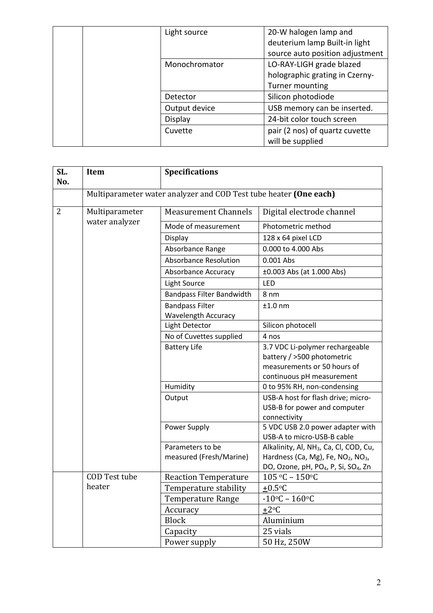| Light source  | 20-W halogen lamp and           |
|---------------|---------------------------------|
|               | deuterium lamp Built-in light   |
|               | source auto position adjustment |
| Monochromator | LO-RAY-LIGH grade blazed        |
|               | holographic grating in Czerny-  |
|               | Turner mounting                 |
| Detector      | Silicon photodiode              |
| Output device | USB memory can be inserted.     |
| Display       | 24-bit color touch screen       |
| Cuvette       | pair (2 nos) of quartz cuvette  |
|               | will be supplied                |

| SL.<br>No.     | Item                                                              | <b>Specifications</b>            |                                                                |
|----------------|-------------------------------------------------------------------|----------------------------------|----------------------------------------------------------------|
|                | Multiparameter water analyzer and COD Test tube heater (One each) |                                  |                                                                |
| $\overline{2}$ | Multiparameter                                                    | <b>Measurement Channels</b>      | Digital electrode channel                                      |
|                | water analyzer                                                    | Mode of measurement              | Photometric method                                             |
|                |                                                                   | Display                          | 128 x 64 pixel LCD                                             |
|                |                                                                   | Absorbance Range                 | 0.000 to 4.000 Abs                                             |
|                |                                                                   | <b>Absorbance Resolution</b>     | 0.001 Abs                                                      |
|                |                                                                   | Absorbance Accuracy              | ±0.003 Abs (at 1.000 Abs)                                      |
|                |                                                                   | <b>Light Source</b>              | LED                                                            |
|                |                                                                   | <b>Bandpass Filter Bandwidth</b> | 8 <sub>nm</sub>                                                |
|                |                                                                   | <b>Bandpass Filter</b>           | $±1.0$ nm                                                      |
|                |                                                                   | Wavelength Accuracy              |                                                                |
|                |                                                                   | Light Detector                   | Silicon photocell                                              |
|                |                                                                   | No of Cuvettes supplied          | 4 nos                                                          |
|                |                                                                   | <b>Battery Life</b>              | 3.7 VDC Li-polymer rechargeable                                |
|                |                                                                   |                                  | battery / >500 photometric                                     |
|                |                                                                   |                                  | measurements or 50 hours of                                    |
|                |                                                                   |                                  | continuous pH measurement                                      |
|                |                                                                   | Humidity                         | 0 to 95% RH, non-condensing                                    |
|                |                                                                   | Output                           | USB-A host for flash drive; micro-                             |
|                |                                                                   |                                  | USB-B for power and computer                                   |
|                |                                                                   |                                  | connectivity                                                   |
|                |                                                                   | Power Supply                     | 5 VDC USB 2.0 power adapter with<br>USB-A to micro-USB-B cable |
|                |                                                                   | Parameters to be                 | Alkalinity, Al, NH <sub>3</sub> , Ca, Cl, COD, Cu,             |
|                |                                                                   | measured (Fresh/Marine)          | Hardness (Ca, Mg), Fe, NO <sub>2</sub> , NO <sub>3</sub> ,     |
|                |                                                                   |                                  | DO, Ozone, pH, PO <sub>4</sub> , P, Si, SO <sub>4</sub> , Zn   |
|                | <b>COD Test tube</b>                                              | <b>Reaction Temperature</b>      | $105 °C - 150 °C$                                              |
| heater         |                                                                   | Temperature stability            | $+0.5$ °C                                                      |
|                |                                                                   | <b>Temperature Range</b>         | $-10$ °C – 160°C                                               |
|                |                                                                   | Accuracy                         | $\pm 2^{\circ}C$                                               |
|                |                                                                   | <b>Block</b>                     | Aluminium                                                      |
|                |                                                                   | Capacity                         | 25 vials                                                       |
|                |                                                                   | Power supply                     | 50 Hz, 250W                                                    |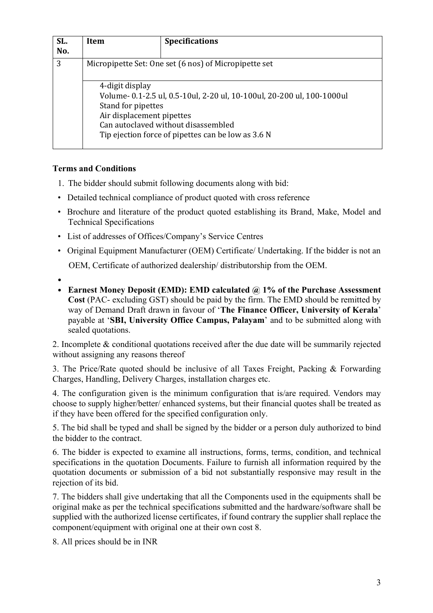| SL. | Item                                                                                                                                                                                                                                      | <b>Specifications</b> |  |  |
|-----|-------------------------------------------------------------------------------------------------------------------------------------------------------------------------------------------------------------------------------------------|-----------------------|--|--|
| No. |                                                                                                                                                                                                                                           |                       |  |  |
| 3   | Micropipette Set: One set (6 nos) of Micropipette set                                                                                                                                                                                     |                       |  |  |
|     | 4-digit display<br>Volume- 0.1-2.5 ul, 0.5-10ul, 2-20 ul, 10-100ul, 20-200 ul, 100-1000ul<br>Stand for pipettes<br>Air displacement pipettes<br>Can autoclaved without disassembled<br>Tip ejection force of pipettes can be low as 3.6 N |                       |  |  |

## **Terms and Conditions**

- 1. The bidder should submit following documents along with bid:
- Detailed technical compliance of product quoted with cross reference
- Brochure and literature of the product quoted establishing its Brand, Make, Model and Technical Specifications
- List of addresses of Offices/Company's Service Centres
- Original Equipment Manufacturer (OEM) Certificate/ Undertaking. If the bidder is not an OEM, Certificate of authorized dealership/ distributorship from the OEM.
- •
- **Earnest Money Deposit (EMD): EMD calculated @ 1% of the Purchase Assessment Cost** (PAC- excluding GST) should be paid by the firm. The EMD should be remitted by way of Demand Draft drawn in favour of '**The Finance Officer, University of Kerala**' payable at '**SBI, University Office Campus, Palayam**' and to be submitted along with sealed quotations.

2. Incomplete & conditional quotations received after the due date will be summarily rejected without assigning any reasons thereof

3. The Price/Rate quoted should be inclusive of all Taxes Freight, Packing & Forwarding Charges, Handling, Delivery Charges, installation charges etc.

4. The configuration given is the minimum configuration that is/are required. Vendors may choose to supply higher/better/ enhanced systems, but their financial quotes shall be treated as if they have been offered for the specified configuration only.

5. The bid shall be typed and shall be signed by the bidder or a person duly authorized to bind the bidder to the contract.

6. The bidder is expected to examine all instructions, forms, terms, condition, and technical specifications in the quotation Documents. Failure to furnish all information required by the quotation documents or submission of a bid not substantially responsive may result in the rejection of its bid.

7. The bidders shall give undertaking that all the Components used in the equipments shall be original make as per the technical specifications submitted and the hardware/software shall be supplied with the authorized license certificates, if found contrary the supplier shall replace the component/equipment with original one at their own cost 8.

8. All prices should be in INR